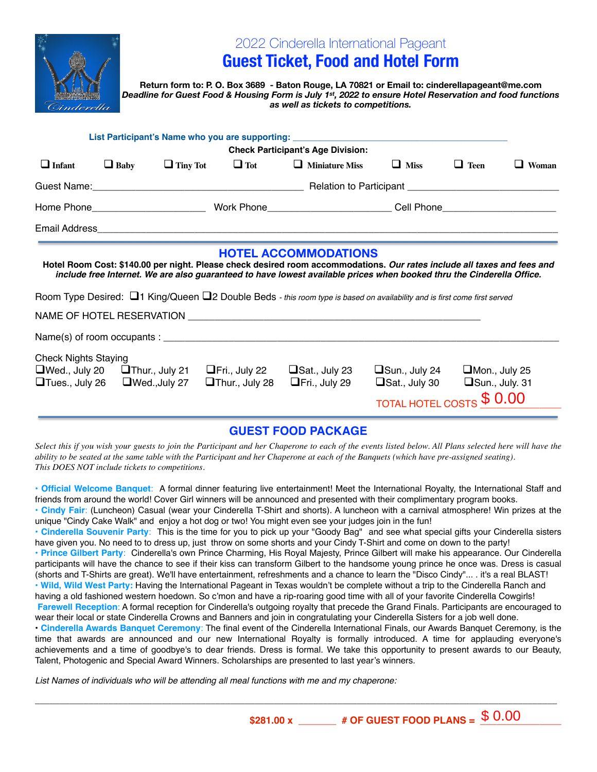

## 2022 Cinderella International Pageant

# **Guest Ticket, Food and Hotel Form**

**Return form to: P. O. Box 3689 - Baton Rouge, LA 70821 or Email to: cinderellapageant@me.com**  *Deadline for Guest Food & Housing Form is July 1st, 2022 to ensure Hotel Reservation and food functions as well as tickets to competitions.* 

|                                                      |                                            |                      |                                               | List Participant's Name who you are supporting: ________________________________                                                                                                                                                                                                                                                                                                                                        |                                                                          |                                        |        |
|------------------------------------------------------|--------------------------------------------|----------------------|-----------------------------------------------|-------------------------------------------------------------------------------------------------------------------------------------------------------------------------------------------------------------------------------------------------------------------------------------------------------------------------------------------------------------------------------------------------------------------------|--------------------------------------------------------------------------|----------------------------------------|--------|
| <b>Check Participant's Age Division:</b>             |                                            |                      |                                               |                                                                                                                                                                                                                                                                                                                                                                                                                         |                                                                          |                                        |        |
| $\Box$ Infant                                        | $\Box$ Baby                                | $\Box$ Tiny Tot      | $\Box$ Tot                                    | $\Box$ Miniature Miss                                                                                                                                                                                                                                                                                                                                                                                                   | $\Box$ Miss                                                              | $\Box$ Teen                            | Woman  |
|                                                      |                                            |                      |                                               |                                                                                                                                                                                                                                                                                                                                                                                                                         |                                                                          |                                        |        |
|                                                      |                                            |                      |                                               |                                                                                                                                                                                                                                                                                                                                                                                                                         |                                                                          |                                        |        |
| Email Address                                        |                                            |                      |                                               |                                                                                                                                                                                                                                                                                                                                                                                                                         |                                                                          |                                        |        |
|                                                      |                                            |                      |                                               | <b>HOTEL ACCOMMODATIONS</b><br>Hotel Room Cost: \$140.00 per night. Please check desired room accommodations. Our rates include all taxes and fees and<br>include free Internet. We are also guaranteed to have lowest available prices when booked thru the Cinderella Office.<br>Room Type Desired: $\Box$ 1 King/Queen $\Box$ 2 Double Beds - this room type is based on availability and is first come first served |                                                                          |                                        |        |
|                                                      |                                            |                      |                                               |                                                                                                                                                                                                                                                                                                                                                                                                                         |                                                                          |                                        |        |
|                                                      |                                            |                      |                                               |                                                                                                                                                                                                                                                                                                                                                                                                                         |                                                                          |                                        |        |
| <b>Check Nights Staying</b><br>$\Box$ Tues., July 26 | $\Box$ Wed., July 20 $\Box$ Thur., July 21 | $\Box$ Wed., July 27 | $\Box$ Fri., July 22<br><b>Thur., July 28</b> | $\Box$ Sat., July 23<br>$\Box$ Fri., July 29                                                                                                                                                                                                                                                                                                                                                                            | $\Box$ Sun., July 24<br>$\Box$ Sat., July 30<br><b>TOTAL HOTEL COSTS</b> | $\Box$ Mon., July 25<br>Sun., July. 31 | \$0.00 |

### **GUEST FOOD PACKAGE**

*Select this if you wish your guests to join the Participant and her Chaperone to each of the events listed below. All Plans selected here will have the ability to be seated at the same table with the Participant and her Chaperone at each of the Banquets (which have pre-assigned seating). This DOES NOT include tickets to competitions.*

**• Official Welcome Banquet**: A formal dinner featuring live entertainment! Meet the International Royalty, the International Staff and friends from around the world! Cover Girl winners will be announced and presented with their complimentary program books.

**• Cindy Fair**: (Luncheon) Casual (wear your Cinderella T-Shirt and shorts). A luncheon with a carnival atmosphere! Win prizes at the unique "Cindy Cake Walk" and enjoy a hot dog or two! You might even see your judges join in the fun!

**• Cinderella Souvenir Party**: This is the time for you to pick up your "Goody Bag" and see what special gifts your Cinderella sisters have given you. No need to to dress up, just throw on some shorts and your Cindy T-Shirt and come on down to the party!

**• Prince Gilbert Party**: Cinderella's own Prince Charming, His Royal Majesty, Prince Gilbert will make his appearance. Our Cinderella participants will have the chance to see if their kiss can transform Gilbert to the handsome young prince he once was. Dress is casual (shorts and T-Shirts are great). We'll have entertainment, refreshments and a chance to learn the "Disco Cindy"... . it's a real BLAST! **• Wild, Wild West Party:** Having the International Pageant in Texas wouldn't be complete without a trip to the Cinderella Ranch and

having a old fashioned western hoedown. So c'mon and have a rip-roaring good time with all of your favorite Cinderella Cowgirls! **Farewell Reception**: A formal reception for Cinderella's outgoing royalty that precede the Grand Finals. Participants are encouraged to wear their local or state Cinderella Crowns and Banners and join in congratulating your Cinderella Sisters for a job well done.

• **Cinderella Awards Banquet Ceremony**: The final event of the Cinderella International Finals, our Awards Banquet Ceremony, is the time that awards are announced and our new International Royalty is formally introduced. A time for applauding everyone's achievements and a time of goodbye's to dear friends. Dress is formal. We take this opportunity to present awards to our Beauty, Talent, Photogenic and Special Award Winners. Scholarships are presented to last year's winners.

\_\_\_\_\_\_\_\_\_\_\_\_\_\_\_\_\_\_\_\_\_\_\_\_\_\_\_\_\_\_\_\_\_\_\_\_\_\_\_\_\_\_\_\_\_\_\_\_\_\_\_\_\_\_\_\_\_\_\_\_\_\_\_\_\_\_\_\_\_\_\_\_\_\_\_\_\_\_\_\_\_\_\_\_\_\_\_\_\_\_\_\_\_\_\_\_\_\_\_\_\_\_\_\_\_\_\_

*List Names of individuals who will be attending all meal functions with me and my chaperone:*